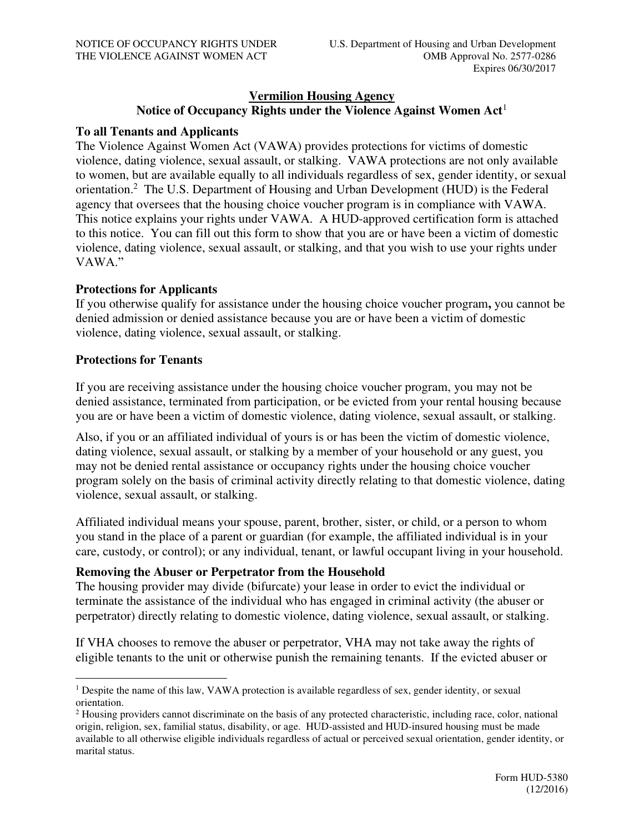# **Vermilion Housing Agency**

# **Notice of Occupancy Rights under the Violence Against Women Act**<sup>1</sup>

## **To all Tenants and Applicants**

The Violence Against Women Act (VAWA) provides protections for victims of domestic violence, dating violence, sexual assault, or stalking. VAWA protections are not only available to women, but are available equally to all individuals regardless of sex, gender identity, or sexual orientation.<sup>2</sup> The U.S. Department of Housing and Urban Development (HUD) is the Federal agency that oversees that the housing choice voucher program is in compliance with VAWA. This notice explains your rights under VAWA. A HUD-approved certification form is attached to this notice. You can fill out this form to show that you are or have been a victim of domestic violence, dating violence, sexual assault, or stalking, and that you wish to use your rights under VAWA."

# **Protections for Applicants**

If you otherwise qualify for assistance under the housing choice voucher program**,** you cannot be denied admission or denied assistance because you are or have been a victim of domestic violence, dating violence, sexual assault, or stalking.

## **Protections for Tenants**

If you are receiving assistance under the housing choice voucher program, you may not be denied assistance, terminated from participation, or be evicted from your rental housing because you are or have been a victim of domestic violence, dating violence, sexual assault, or stalking.

Also, if you or an affiliated individual of yours is or has been the victim of domestic violence, dating violence, sexual assault, or stalking by a member of your household or any guest, you may not be denied rental assistance or occupancy rights under the housing choice voucher program solely on the basis of criminal activity directly relating to that domestic violence, dating violence, sexual assault, or stalking.

Affiliated individual means your spouse, parent, brother, sister, or child, or a person to whom you stand in the place of a parent or guardian (for example, the affiliated individual is in your care, custody, or control); or any individual, tenant, or lawful occupant living in your household.

# **Removing the Abuser or Perpetrator from the Household**

The housing provider may divide (bifurcate) your lease in order to evict the individual or terminate the assistance of the individual who has engaged in criminal activity (the abuser or perpetrator) directly relating to domestic violence, dating violence, sexual assault, or stalking.

If VHA chooses to remove the abuser or perpetrator, VHA may not take away the rights of eligible tenants to the unit or otherwise punish the remaining tenants. If the evicted abuser or

<sup>&</sup>lt;sup>1</sup> Despite the name of this law, VAWA protection is available regardless of sex, gender identity, or sexual orientation.

<sup>&</sup>lt;sup>2</sup> Housing providers cannot discriminate on the basis of any protected characteristic, including race, color, national origin, religion, sex, familial status, disability, or age. HUD-assisted and HUD-insured housing must be made available to all otherwise eligible individuals regardless of actual or perceived sexual orientation, gender identity, or marital status.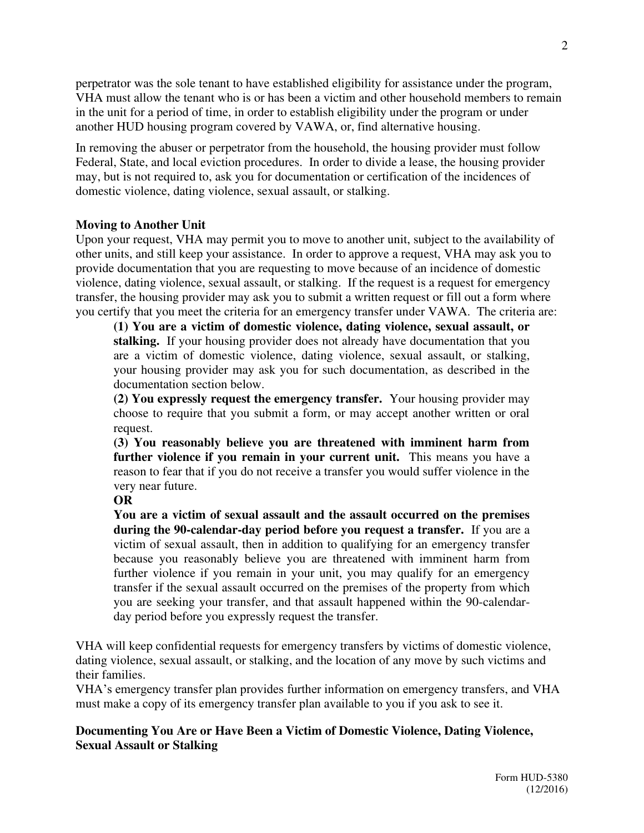perpetrator was the sole tenant to have established eligibility for assistance under the program, VHA must allow the tenant who is or has been a victim and other household members to remain in the unit for a period of time, in order to establish eligibility under the program or under another HUD housing program covered by VAWA, or, find alternative housing.

In removing the abuser or perpetrator from the household, the housing provider must follow Federal, State, and local eviction procedures. In order to divide a lease, the housing provider may, but is not required to, ask you for documentation or certification of the incidences of domestic violence, dating violence, sexual assault, or stalking.

#### **Moving to Another Unit**

Upon your request, VHA may permit you to move to another unit, subject to the availability of other units, and still keep your assistance. In order to approve a request, VHA may ask you to provide documentation that you are requesting to move because of an incidence of domestic violence, dating violence, sexual assault, or stalking. If the request is a request for emergency transfer, the housing provider may ask you to submit a written request or fill out a form where you certify that you meet the criteria for an emergency transfer under VAWA. The criteria are:

**(1) You are a victim of domestic violence, dating violence, sexual assault, or stalking.** If your housing provider does not already have documentation that you are a victim of domestic violence, dating violence, sexual assault, or stalking, your housing provider may ask you for such documentation, as described in the documentation section below.

**(2) You expressly request the emergency transfer.** Your housing provider may choose to require that you submit a form, or may accept another written or oral request.

**(3) You reasonably believe you are threatened with imminent harm from**  further violence if you remain in your current unit. This means you have a reason to fear that if you do not receive a transfer you would suffer violence in the very near future.

#### **OR**

**You are a victim of sexual assault and the assault occurred on the premises during the 90-calendar-day period before you request a transfer.** If you are a victim of sexual assault, then in addition to qualifying for an emergency transfer because you reasonably believe you are threatened with imminent harm from further violence if you remain in your unit, you may qualify for an emergency transfer if the sexual assault occurred on the premises of the property from which you are seeking your transfer, and that assault happened within the 90-calendarday period before you expressly request the transfer.

VHA will keep confidential requests for emergency transfers by victims of domestic violence, dating violence, sexual assault, or stalking, and the location of any move by such victims and their families.

VHA's emergency transfer plan provides further information on emergency transfers, and VHA must make a copy of its emergency transfer plan available to you if you ask to see it.

### **Documenting You Are or Have Been a Victim of Domestic Violence, Dating Violence, Sexual Assault or Stalking**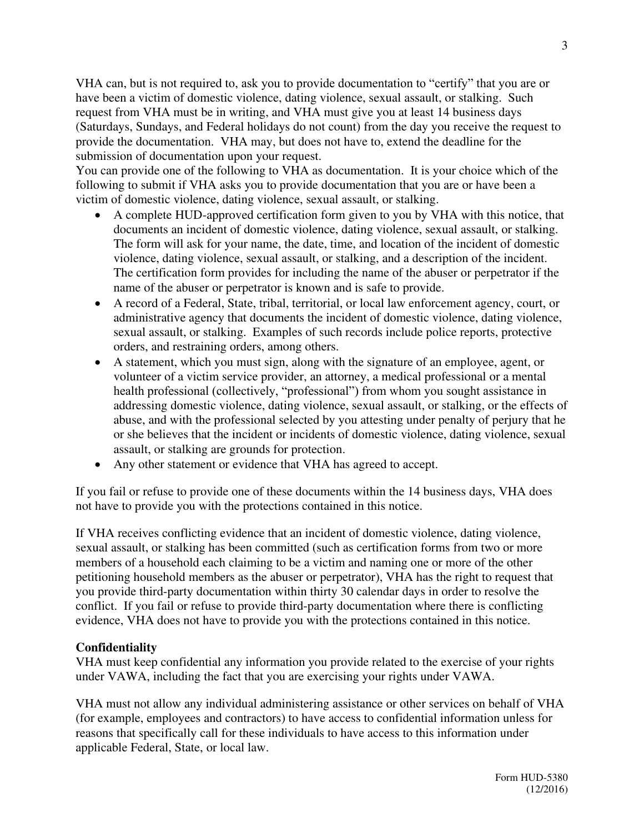VHA can, but is not required to, ask you to provide documentation to "certify" that you are or have been a victim of domestic violence, dating violence, sexual assault, or stalking. Such request from VHA must be in writing, and VHA must give you at least 14 business days (Saturdays, Sundays, and Federal holidays do not count) from the day you receive the request to provide the documentation. VHA may, but does not have to, extend the deadline for the submission of documentation upon your request.

You can provide one of the following to VHA as documentation. It is your choice which of the following to submit if VHA asks you to provide documentation that you are or have been a victim of domestic violence, dating violence, sexual assault, or stalking.

- A complete HUD-approved certification form given to you by VHA with this notice, that documents an incident of domestic violence, dating violence, sexual assault, or stalking. The form will ask for your name, the date, time, and location of the incident of domestic violence, dating violence, sexual assault, or stalking, and a description of the incident. The certification form provides for including the name of the abuser or perpetrator if the name of the abuser or perpetrator is known and is safe to provide.
- A record of a Federal, State, tribal, territorial, or local law enforcement agency, court, or administrative agency that documents the incident of domestic violence, dating violence, sexual assault, or stalking. Examples of such records include police reports, protective orders, and restraining orders, among others.
- A statement, which you must sign, along with the signature of an employee, agent, or volunteer of a victim service provider, an attorney, a medical professional or a mental health professional (collectively, "professional") from whom you sought assistance in addressing domestic violence, dating violence, sexual assault, or stalking, or the effects of abuse, and with the professional selected by you attesting under penalty of perjury that he or she believes that the incident or incidents of domestic violence, dating violence, sexual assault, or stalking are grounds for protection.
- Any other statement or evidence that VHA has agreed to accept.

If you fail or refuse to provide one of these documents within the 14 business days, VHA does not have to provide you with the protections contained in this notice.

If VHA receives conflicting evidence that an incident of domestic violence, dating violence, sexual assault, or stalking has been committed (such as certification forms from two or more members of a household each claiming to be a victim and naming one or more of the other petitioning household members as the abuser or perpetrator), VHA has the right to request that you provide third-party documentation within thirty 30 calendar days in order to resolve the conflict. If you fail or refuse to provide third-party documentation where there is conflicting evidence, VHA does not have to provide you with the protections contained in this notice.

### **Confidentiality**

VHA must keep confidential any information you provide related to the exercise of your rights under VAWA, including the fact that you are exercising your rights under VAWA.

VHA must not allow any individual administering assistance or other services on behalf of VHA (for example, employees and contractors) to have access to confidential information unless for reasons that specifically call for these individuals to have access to this information under applicable Federal, State, or local law.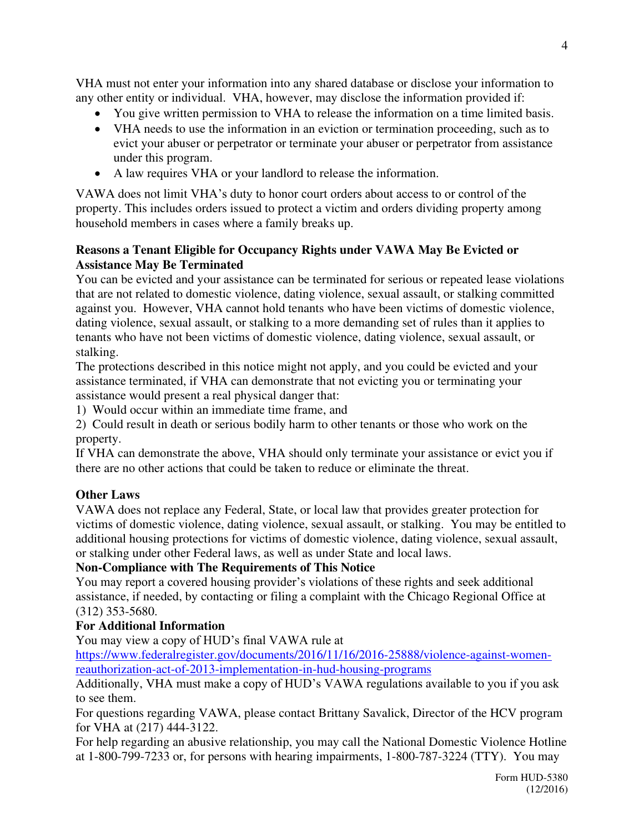VHA must not enter your information into any shared database or disclose your information to any other entity or individual. VHA, however, may disclose the information provided if:

- You give written permission to VHA to release the information on a time limited basis.
- VHA needs to use the information in an eviction or termination proceeding, such as to evict your abuser or perpetrator or terminate your abuser or perpetrator from assistance under this program.
- A law requires VHA or your landlord to release the information.

VAWA does not limit VHA's duty to honor court orders about access to or control of the property. This includes orders issued to protect a victim and orders dividing property among household members in cases where a family breaks up.

# **Reasons a Tenant Eligible for Occupancy Rights under VAWA May Be Evicted or Assistance May Be Terminated**

You can be evicted and your assistance can be terminated for serious or repeated lease violations that are not related to domestic violence, dating violence, sexual assault, or stalking committed against you. However, VHA cannot hold tenants who have been victims of domestic violence, dating violence, sexual assault, or stalking to a more demanding set of rules than it applies to tenants who have not been victims of domestic violence, dating violence, sexual assault, or stalking.

The protections described in this notice might not apply, and you could be evicted and your assistance terminated, if VHA can demonstrate that not evicting you or terminating your assistance would present a real physical danger that:

1) Would occur within an immediate time frame, and

2) Could result in death or serious bodily harm to other tenants or those who work on the property.

If VHA can demonstrate the above, VHA should only terminate your assistance or evict you if there are no other actions that could be taken to reduce or eliminate the threat.

# **Other Laws**

VAWA does not replace any Federal, State, or local law that provides greater protection for victims of domestic violence, dating violence, sexual assault, or stalking. You may be entitled to additional housing protections for victims of domestic violence, dating violence, sexual assault, or stalking under other Federal laws, as well as under State and local laws.

# **Non-Compliance with The Requirements of This Notice**

You may report a covered housing provider's violations of these rights and seek additional assistance, if needed, by contacting or filing a complaint with the Chicago Regional Office at (312) 353-5680.

# **For Additional Information**

You may view a copy of HUD's final VAWA rule at

[https://www.federalregister.gov/documents/2016/11/16/2016-25888/violence-against-women](https://www.federalregister.gov/documents/2016/11/16/2016-25888/violence-against-women-reauthorization-act-of-2013-implementation-in-hud-housing-programs)[reauthorization-act-of-2013-implementation-in-hud-housing-programs](https://www.federalregister.gov/documents/2016/11/16/2016-25888/violence-against-women-reauthorization-act-of-2013-implementation-in-hud-housing-programs) 

Additionally, VHA must make a copy of HUD's VAWA regulations available to you if you ask to see them.

For questions regarding VAWA, please contact Brittany Savalick, Director of the HCV program for VHA at (217) 444-3122.

For help regarding an abusive relationship, you may call the National Domestic Violence Hotline at 1-800-799-7233 or, for persons with hearing impairments, 1-800-787-3224 (TTY). You may